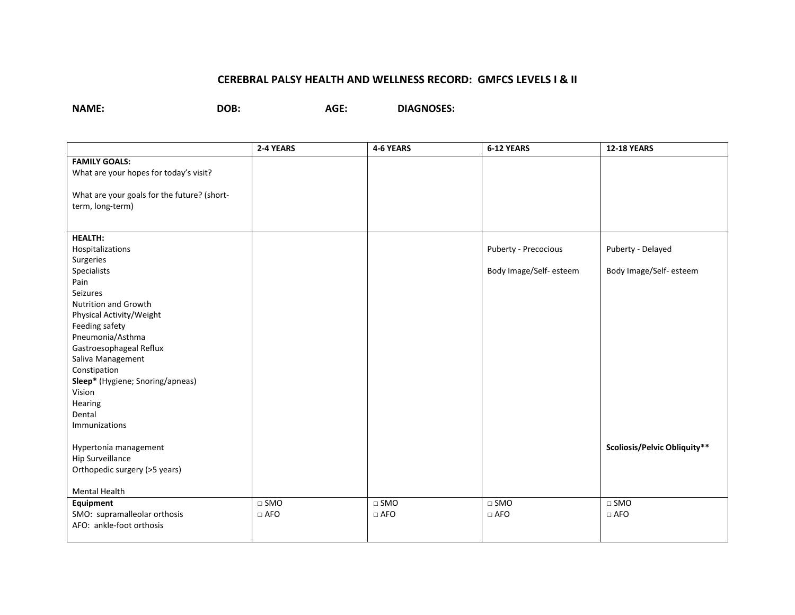## **CEREBRAL PALSY HEALTH AND WELLNESS RECORD: GMFCS LEVELS I & II**

**NAME: DOB: AGE: DIAGNOSES:**

|                                             | 2-4 YEARS  | 4-6 YEARS     | 6-12 YEARS             | <b>12-18 YEARS</b>           |
|---------------------------------------------|------------|---------------|------------------------|------------------------------|
| <b>FAMILY GOALS:</b>                        |            |               |                        |                              |
| What are your hopes for today's visit?      |            |               |                        |                              |
|                                             |            |               |                        |                              |
| What are your goals for the future? (short- |            |               |                        |                              |
| term, long-term)                            |            |               |                        |                              |
|                                             |            |               |                        |                              |
|                                             |            |               |                        |                              |
| <b>HEALTH:</b>                              |            |               |                        |                              |
| Hospitalizations                            |            |               | Puberty - Precocious   | Puberty - Delayed            |
| Surgeries                                   |            |               |                        |                              |
| Specialists                                 |            |               | Body Image/Self-esteem | Body Image/Self-esteem       |
| Pain                                        |            |               |                        |                              |
| Seizures                                    |            |               |                        |                              |
| Nutrition and Growth                        |            |               |                        |                              |
| Physical Activity/Weight                    |            |               |                        |                              |
| Feeding safety                              |            |               |                        |                              |
| Pneumonia/Asthma                            |            |               |                        |                              |
| Gastroesophageal Reflux                     |            |               |                        |                              |
| Saliva Management                           |            |               |                        |                              |
| Constipation                                |            |               |                        |                              |
| Sleep* (Hygiene; Snoring/apneas)            |            |               |                        |                              |
| Vision                                      |            |               |                        |                              |
| Hearing                                     |            |               |                        |                              |
| Dental                                      |            |               |                        |                              |
| Immunizations                               |            |               |                        |                              |
|                                             |            |               |                        | Scoliosis/Pelvic Obliquity** |
| Hypertonia management<br>Hip Surveillance   |            |               |                        |                              |
| Orthopedic surgery (>5 years)               |            |               |                        |                              |
|                                             |            |               |                        |                              |
| Mental Health                               |            |               |                        |                              |
| Equipment                                   | $\Box$ SMO | $\square$ SMO | $\square$ SMO          | $\Box$ SMO                   |
| SMO: supramalleolar orthosis                | $\Box$ AFO | $\Box$ AFO    | $\Box$ AFO             | $\Box$ AFO                   |
| AFO: ankle-foot orthosis                    |            |               |                        |                              |
|                                             |            |               |                        |                              |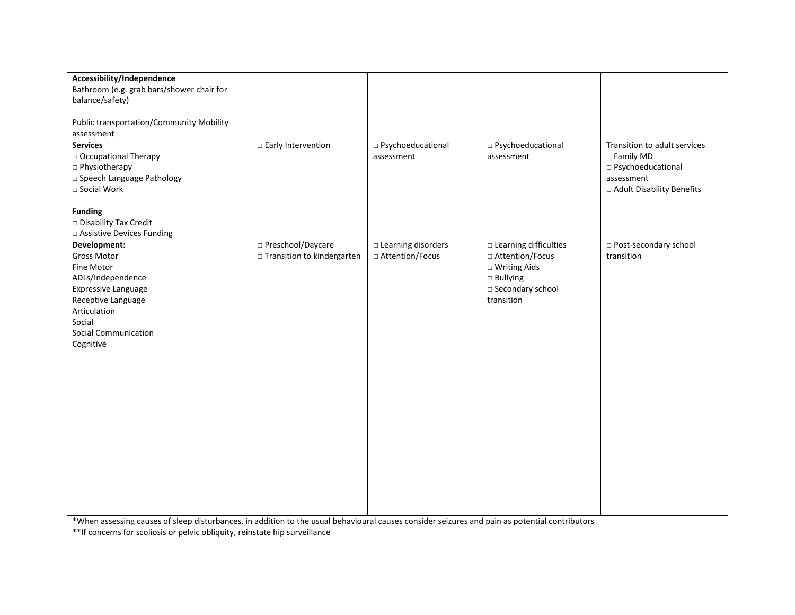| Accessibility/Independence<br>Bathroom (e.g. grab bars/shower chair for<br>balance/safety)                                                                                                                                     |                                                     |                                                   |                                                                                                                          |                                                                                                                 |  |
|--------------------------------------------------------------------------------------------------------------------------------------------------------------------------------------------------------------------------------|-----------------------------------------------------|---------------------------------------------------|--------------------------------------------------------------------------------------------------------------------------|-----------------------------------------------------------------------------------------------------------------|--|
| <b>Public transportation/Community Mobility</b><br>assessment                                                                                                                                                                  |                                                     |                                                   |                                                                                                                          |                                                                                                                 |  |
| <b>Services</b><br>□ Occupational Therapy<br>□ Physiotherapy<br>□ Speech Language Pathology<br>□ Social Work<br><b>Funding</b><br>□ Disability Tax Credit                                                                      | □ Early Intervention                                | □ Psychoeducational<br>assessment                 | □ Psychoeducational<br>assessment                                                                                        | Transition to adult services<br>□ Family MD<br>□ Psychoeducational<br>assessment<br>□ Adult Disability Benefits |  |
| □ Assistive Devices Funding<br>Development:<br>Gross Motor<br>Fine Motor<br>ADLs/Independence<br><b>Expressive Language</b><br>Receptive Language<br>Articulation<br>Social<br>Social Communication<br>Cognitive               | □ Preschool/Daycare<br>□ Transition to kindergarten | $\square$ Learning disorders<br>□ Attention/Focus | □ Learning difficulties<br>□ Attention/Focus<br>□ Writing Aids<br>$\square$ Bullying<br>□ Secondary school<br>transition | □ Post-secondary school<br>transition                                                                           |  |
| *When assessing causes of sleep disturbances, in addition to the usual behavioural causes consider seizures and pain as potential contributors<br>** If concerns for scoliosis or pelvic obliquity, reinstate hip surveillance |                                                     |                                                   |                                                                                                                          |                                                                                                                 |  |